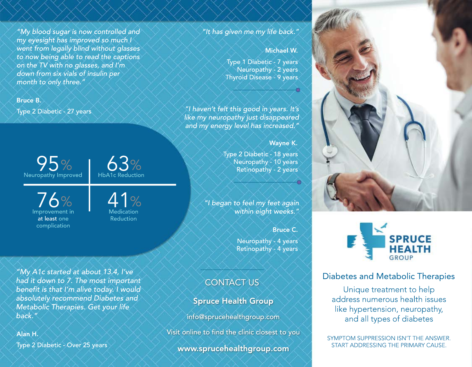"My blood sugar is now controlled and my eyesight has improved so much I went from legally blind without glasses to now being able to read the captions on the TV with no glasses, and I'm down from six vials of insulin per month to only three."

#### Bruce B.

Type 2 Diabetic - 27 years

95%  $\%$   $\bigcup_{\text{phA1c Reduction}}$ Neuropathy Improved

76% Improvement in at least one complication

 $47%$ 

HbA1c Reduction

Medication Reduction

#### "It has given me my life back."

#### Michael W.

Type 1 Diabetic - 7 years Neuropathy - 2 years Thyroid Disease - 9 years

"I haven't felt this good in years. It's like my neuropathy just disappeared and my energy level has increased."

Wayne K.

Type 2 Diabetic - 18 years Neuropathy - 10 years Retinopathy - 2 years

"I began to feel my feet again within eight weeks."

Bruce C.

Neuropathy - 4 years Retinopathy - 4 years

### CONTACT US

Spruce Health Group

info@sprucehealthgroup.com

Visit online to find the clinic closest to you

www.sprucehealthgroup.com





#### Diabetes and Metabolic Therapies

Unique treatment to help address numerous health issues like hypertension, neuropathy, and all types of diabetes

SYMPTOM SUPPRESSION ISN'T THE ANSWER. START ADDRESSING THE PRIMARY CAUSE.

"My A1c started at about 13.4, I've had it down to 7. The most important benefit is that I'm alive today. I would absolutely recommend Diabetes and Metabolic Therapies. Get your life back."

Type 2 Diabetic - Over 25 years Alan H.